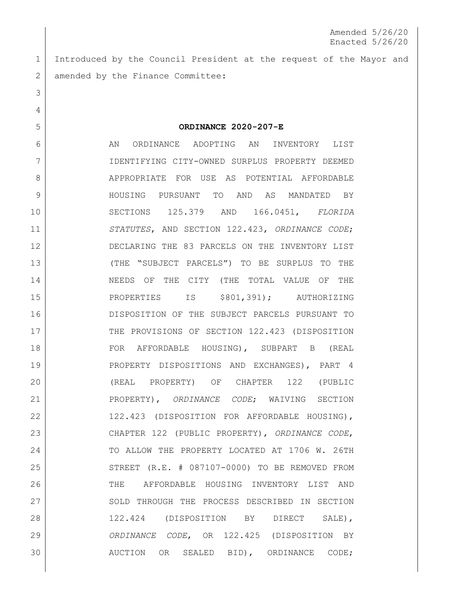Introduced by the Council President at the request of the Mayor and 2 amended by the Finance Committee:

 **ORDINANCE 2020-207-E** 6 AN ORDINANCE ADOPTING AN INVENTORY LIST IDENTIFYING CITY-OWNED SURPLUS PROPERTY DEEMED 8 APPROPRIATE FOR USE AS POTENTIAL AFFORDABLE HOUSING PURSUANT TO AND AS MANDATED BY SECTIONS 125.379 AND 166.0451, *FLORIDA STATUTES*, AND SECTION 122.423, *ORDINANCE CODE*; DECLARING THE 83 PARCELS ON THE INVENTORY LIST (THE "SUBJECT PARCELS") TO BE SURPLUS TO THE 14 NEEDS OF THE CITY (THE TOTAL VALUE OF THE 15 | PROPERTIES IS \$801,391); AUTHORIZING DISPOSITION OF THE SUBJECT PARCELS PURSUANT TO THE PROVISIONS OF SECTION 122.423 (DISPOSITION FOR AFFORDABLE HOUSING), SUBPART B (REAL 19 | PROPERTY DISPOSITIONS AND EXCHANGES), PART 4 (REAL PROPERTY) OF CHAPTER 122 (PUBLIC PROPERTY), *ORDINANCE CODE*; WAIVING SECTION 122.423 (DISPOSITION FOR AFFORDABLE HOUSING), CHAPTER 122 (PUBLIC PROPERTY), *ORDINANCE CODE*, 24 TO ALLOW THE PROPERTY LOCATED AT 1706 W. 26TH 25 STREET (R.E. # 087107-0000) TO BE REMOVED FROM THE AFFORDABLE HOUSING INVENTORY LIST AND 27 SOLD THROUGH THE PROCESS DESCRIBED IN SECTION 122.424 (DISPOSITION BY DIRECT SALE), *ORDINANCE CODE*, OR 122.425 (DISPOSITION BY AUCTION OR SEALED BID), ORDINANCE CODE;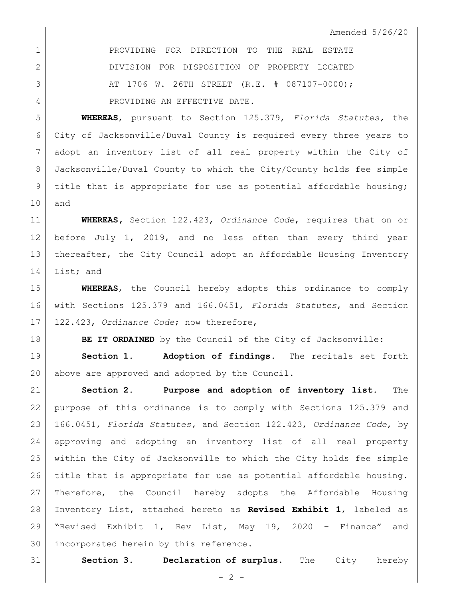**PROVIDING FOR DIRECTION TO THE REAL ESTATE**  DIVISION FOR DISPOSITION OF PROPERTY LOCATED 3 AT 1706 W. 26TH STREET (R.E. # 087107-0000); 4 PROVIDING AN EFFECTIVE DATE.

 **WHEREAS**, pursuant to Section 125.379, *Florida Statutes,* the City of Jacksonville/Duval County is required every three years to adopt an inventory list of all real property within the City of Jacksonville/Duval County to which the City/County holds fee simple 9 | title that is appropriate for use as potential affordable housing; and

 **WHEREAS,** Section 122.423, *Ordinance Code*, requires that on or before July 1, 2019, and no less often than every third year 13 | thereafter, the City Council adopt an Affordable Housing Inventory List; and

 **WHEREAS**, the Council hereby adopts this ordinance to comply with Sections 125.379 and 166.0451, *Florida Statutes*, and Section 122.423, *Ordinance Code*; now therefore,

**BE IT ORDAINED** by the Council of the City of Jacksonville:

 **Section 1. Adoption of findings**. The recitals set forth 20 above are approved and adopted by the Council.

 **Section 2. Purpose and adoption of inventory list.** The purpose of this ordinance is to comply with Sections 125.379 and 166.0451, *Florida Statutes,* and Section 122.423, *Ordinance Code*, by approving and adopting an inventory list of all real property within the City of Jacksonville to which the City holds fee simple title that is appropriate for use as potential affordable housing. Therefore, the Council hereby adopts the Affordable Housing Inventory List, attached hereto as **Revised Exhibit 1**, labeled as "Revised Exhibit 1, Rev List, May 19, 2020 – Finance" and incorporated herein by this reference.

**Section 3. Declaration of surplus.** The City hereby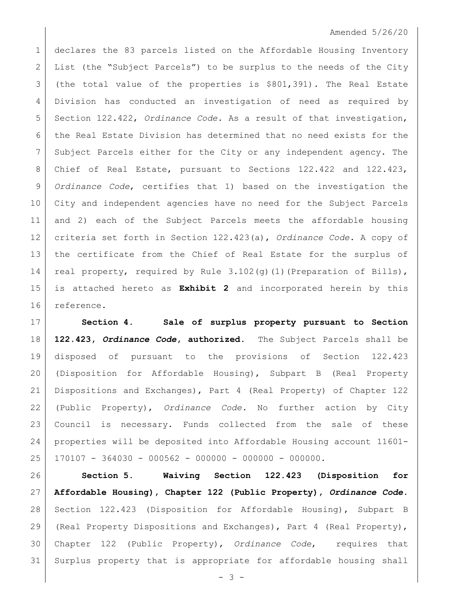## Amended 5/26/20

1 declares the 83 parcels listed on the Affordable Housing Inventory List (the "Subject Parcels") to be surplus to the needs of the City (the total value of the properties is \$801,391). The Real Estate Division has conducted an investigation of need as required by Section 122.422, *Ordinance Code*. As a result of that investigation, the Real Estate Division has determined that no need exists for the Subject Parcels either for the City or any independent agency. The Chief of Real Estate, pursuant to Sections 122.422 and 122.423, *Ordinance Code*, certifies that 1) based on the investigation the City and independent agencies have no need for the Subject Parcels and 2) each of the Subject Parcels meets the affordable housing criteria set forth in Section 122.423(a), *Ordinance Code*. A copy of the certificate from the Chief of Real Estate for the surplus of 14 real property, required by Rule  $3.102$  (q)(1)(Preparation of Bills), is attached hereto as **Exhibit 2** and incorporated herein by this reference.

 **Section 4. Sale of surplus property pursuant to Section 122.423,** *Ordinance Code***, authorized.** The Subject Parcels shall be disposed of pursuant to the provisions of Section 122.423 (Disposition for Affordable Housing), Subpart B (Real Property Dispositions and Exchanges), Part 4 (Real Property) of Chapter 122 (Public Property), *Ordinance Code*. No further action by City Council is necessary. Funds collected from the sale of these properties will be deposited into Affordable Housing account 11601- 170107 - 364030 - 000562 - 000000 - 000000 - 000000.

 **Section 5. Waiving Section 122.423 (Disposition for Affordable Housing), Chapter 122 (Public Property),** *Ordinance Code***.**  Section 122.423 (Disposition for Affordable Housing), Subpart B (Real Property Dispositions and Exchanges), Part 4 (Real Property), Chapter 122 (Public Property), *Ordinance Code*, requires that Surplus property that is appropriate for affordable housing shall

- 3 -